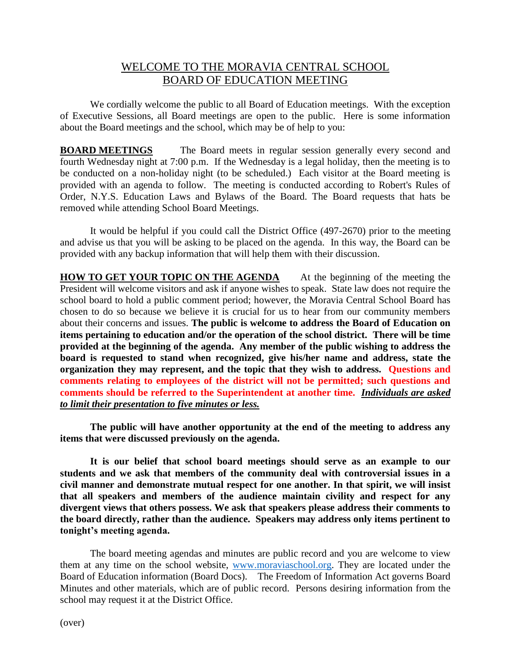## WELCOME TO THE MORAVIA CENTRAL SCHOOL BOARD OF EDUCATION MEETING

We cordially welcome the public to all Board of Education meetings. With the exception of Executive Sessions, all Board meetings are open to the public. Here is some information about the Board meetings and the school, which may be of help to you:

**BOARD MEETINGS** The Board meets in regular session generally every second and fourth Wednesday night at 7:00 p.m. If the Wednesday is a legal holiday, then the meeting is to be conducted on a non-holiday night (to be scheduled.) Each visitor at the Board meeting is provided with an agenda to follow. The meeting is conducted according to Robert's Rules of Order, N.Y.S. Education Laws and Bylaws of the Board. The Board requests that hats be removed while attending School Board Meetings.

It would be helpful if you could call the District Office (497-2670) prior to the meeting and advise us that you will be asking to be placed on the agenda. In this way, the Board can be provided with any backup information that will help them with their discussion.

**HOW TO GET YOUR TOPIC ON THE AGENDA** At the beginning of the meeting the President will welcome visitors and ask if anyone wishes to speak. State law does not require the school board to hold a public comment period; however, the Moravia Central School Board has chosen to do so because we believe it is crucial for us to hear from our community members about their concerns and issues. **The public is welcome to address the Board of Education on items pertaining to education and/or the operation of the school district. There will be time provided at the beginning of the agenda. Any member of the public wishing to address the board is requested to stand when recognized, give his/her name and address, state the organization they may represent, and the topic that they wish to address. Questions and comments relating to employees of the district will not be permitted; such questions and comments should be referred to the Superintendent at another time.** *Individuals are asked to limit their presentation to five minutes or less.*

**The public will have another opportunity at the end of the meeting to address any items that were discussed previously on the agenda.**

**It is our belief that school board meetings should serve as an example to our students and we ask that members of the community deal with controversial issues in a civil manner and demonstrate mutual respect for one another. In that spirit, we will insist that all speakers and members of the audience maintain civility and respect for any divergent views that others possess. We ask that speakers please address their comments to the board directly, rather than the audience. Speakers may address only items pertinent to tonight's meeting agenda.**

The board meeting agendas and minutes are public record and you are welcome to view them at any time on the school website, [www.moraviaschool.org.](file:///C:/Users/jrusaw/Downloads/www.moraviaschool.org) They are located under the Board of Education information (Board Docs). The Freedom of Information Act governs Board Minutes and other materials, which are of public record. Persons desiring information from the school may request it at the District Office.